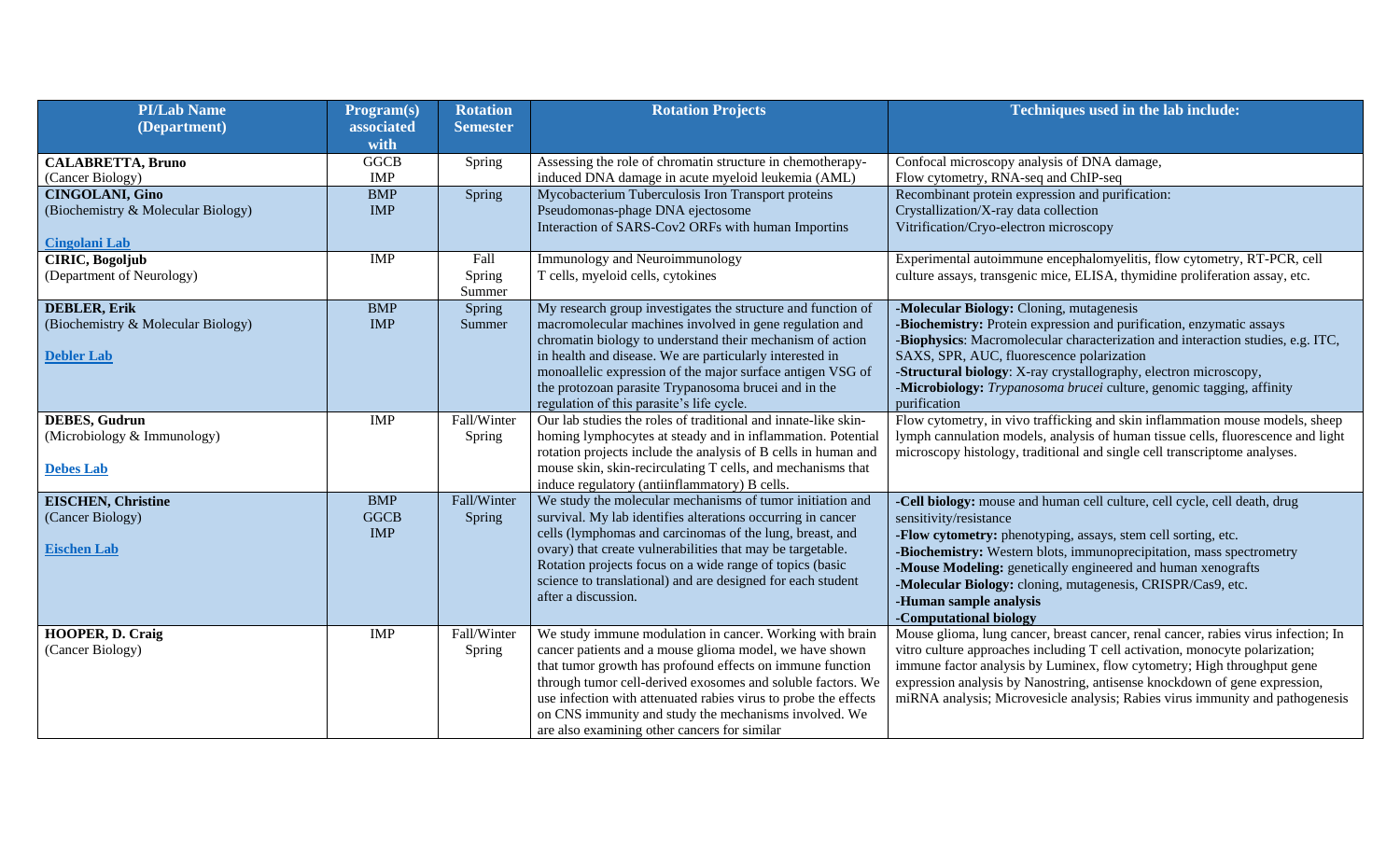| <b>PI/Lab Name</b>                 | Program(s)         | <b>Rotation</b>  | <b>Rotation Projects</b>                                                                                   | Techniques used in the lab include:                                                |
|------------------------------------|--------------------|------------------|------------------------------------------------------------------------------------------------------------|------------------------------------------------------------------------------------|
| (Department)                       | associated<br>with | <b>Semester</b>  |                                                                                                            |                                                                                    |
| <b>CALABRETTA, Bruno</b>           | GGCB               | Spring           | Assessing the role of chromatin structure in chemotherapy-                                                 | Confocal microscopy analysis of DNA damage,                                        |
| (Cancer Biology)                   | <b>IMP</b>         |                  | induced DNA damage in acute myeloid leukemia (AML)                                                         | Flow cytometry, RNA-seq and ChIP-seq                                               |
| <b>CINGOLANI, Gino</b>             | ${\bf BMP}$        | Spring           | Mycobacterium Tuberculosis Iron Transport proteins                                                         | Recombinant protein expression and purification:                                   |
| (Biochemistry & Molecular Biology) | <b>IMP</b>         |                  | Pseudomonas-phage DNA ejectosome                                                                           | Crystallization/X-ray data collection                                              |
|                                    |                    |                  | Interaction of SARS-Cov2 ORFs with human Importins                                                         | Vitrification/Cryo-electron microscopy                                             |
| <b>Cingolani Lab</b>               |                    |                  |                                                                                                            |                                                                                    |
| <b>CIRIC, Bogoljub</b>             | <b>IMP</b>         | Fall             | Immunology and Neuroimmunology                                                                             | Experimental autoimmune encephalomyelitis, flow cytometry, RT-PCR, cell            |
| (Department of Neurology)          |                    | Spring<br>Summer | T cells, myeloid cells, cytokines                                                                          | culture assays, transgenic mice, ELISA, thymidine proliferation assay, etc.        |
| <b>DEBLER, Erik</b>                | <b>BMP</b>         | Spring           | My research group investigates the structure and function of                                               | -Molecular Biology: Cloning, mutagenesis                                           |
| (Biochemistry & Molecular Biology) | <b>IMP</b>         | Summer           | macromolecular machines involved in gene regulation and                                                    | -Biochemistry: Protein expression and purification, enzymatic assays               |
|                                    |                    |                  | chromatin biology to understand their mechanism of action                                                  | Biophysics: Macromolecular characterization and interaction studies, e.g. ITC,     |
| <b>Debler Lab</b>                  |                    |                  | in health and disease. We are particularly interested in                                                   | SAXS, SPR, AUC, fluorescence polarization                                          |
|                                    |                    |                  | monoallelic expression of the major surface antigen VSG of                                                 | -Structural biology: X-ray crystallography, electron microscopy,                   |
|                                    |                    |                  | the protozoan parasite Trypanosoma brucei and in the                                                       | -Microbiology: Trypanosoma brucei culture, genomic tagging, affinity               |
|                                    |                    |                  | regulation of this parasite's life cycle.                                                                  | purification                                                                       |
| <b>DEBES, Gudrun</b>               | <b>IMP</b>         | Fall/Winter      | Our lab studies the roles of traditional and innate-like skin-                                             | Flow cytometry, in vivo trafficking and skin inflammation mouse models, sheep      |
| (Microbiology & Immunology)        |                    | Spring           | homing lymphocytes at steady and in inflammation. Potentia                                                 | lymph cannulation models, analysis of human tissue cells, fluorescence and light   |
|                                    |                    |                  | rotation projects include the analysis of B cells in human and                                             | microscopy histology, traditional and single cell transcriptome analyses.          |
| <b>Debes Lab</b>                   |                    |                  | mouse skin, skin-recirculating T cells, and mechanisms that                                                |                                                                                    |
| <b>EISCHEN, Christine</b>          | <b>BMP</b>         | Fall/Winter      | induce regulatory (antiinflammatory) B cells.<br>We study the molecular mechanisms of tumor initiation and | -Cell biology: mouse and human cell culture, cell cycle, cell death, drug          |
| (Cancer Biology)                   | GGCB               | Spring           | survival. My lab identifies alterations occurring in cancer                                                | sensitivity/resistance                                                             |
|                                    | <b>IMP</b>         |                  | cells (lymphomas and carcinomas of the lung, breast, and                                                   | -Flow cytometry: phenotyping, assays, stem cell sorting, etc.                      |
| <b>Eischen Lab</b>                 |                    |                  | ovary) that create vulnerabilities that may be targetable.                                                 | -Biochemistry: Western blots, immunoprecipitation, mass spectrometry               |
|                                    |                    |                  | Rotation projects focus on a wide range of topics (basic                                                   | -Mouse Modeling: genetically engineered and human xenografts                       |
|                                    |                    |                  | science to translational) and are designed for each student                                                | -Molecular Biology: cloning, mutagenesis, CRISPR/Cas9, etc.                        |
|                                    |                    |                  | after a discussion.                                                                                        | -Human sample analysis                                                             |
|                                    |                    |                  |                                                                                                            | -Computational biology                                                             |
| HOOPER, D. Craig                   | IMP                | Fall/Winter      | We study immune modulation in cancer. Working with brain                                                   | Mouse glioma, lung cancer, breast cancer, renal cancer, rabies virus infection; In |
| (Cancer Biology)                   |                    | Spring           | cancer patients and a mouse glioma model, we have shown                                                    | vitro culture approaches including T cell activation, monocyte polarization;       |
|                                    |                    |                  | that tumor growth has profound effects on immune function                                                  | immune factor analysis by Luminex, flow cytometry; High throughput gene            |
|                                    |                    |                  | through tumor cell-derived exosomes and soluble factors. We                                                | expression analysis by Nanostring, antisense knockdown of gene expression,         |
|                                    |                    |                  | use infection with attenuated rabies virus to probe the effects                                            | miRNA analysis; Microvesicle analysis; Rabies virus immunity and pathogenesis      |
|                                    |                    |                  | on CNS immunity and study the mechanisms involved. We                                                      |                                                                                    |
|                                    |                    |                  | are also examining other cancers for similar                                                               |                                                                                    |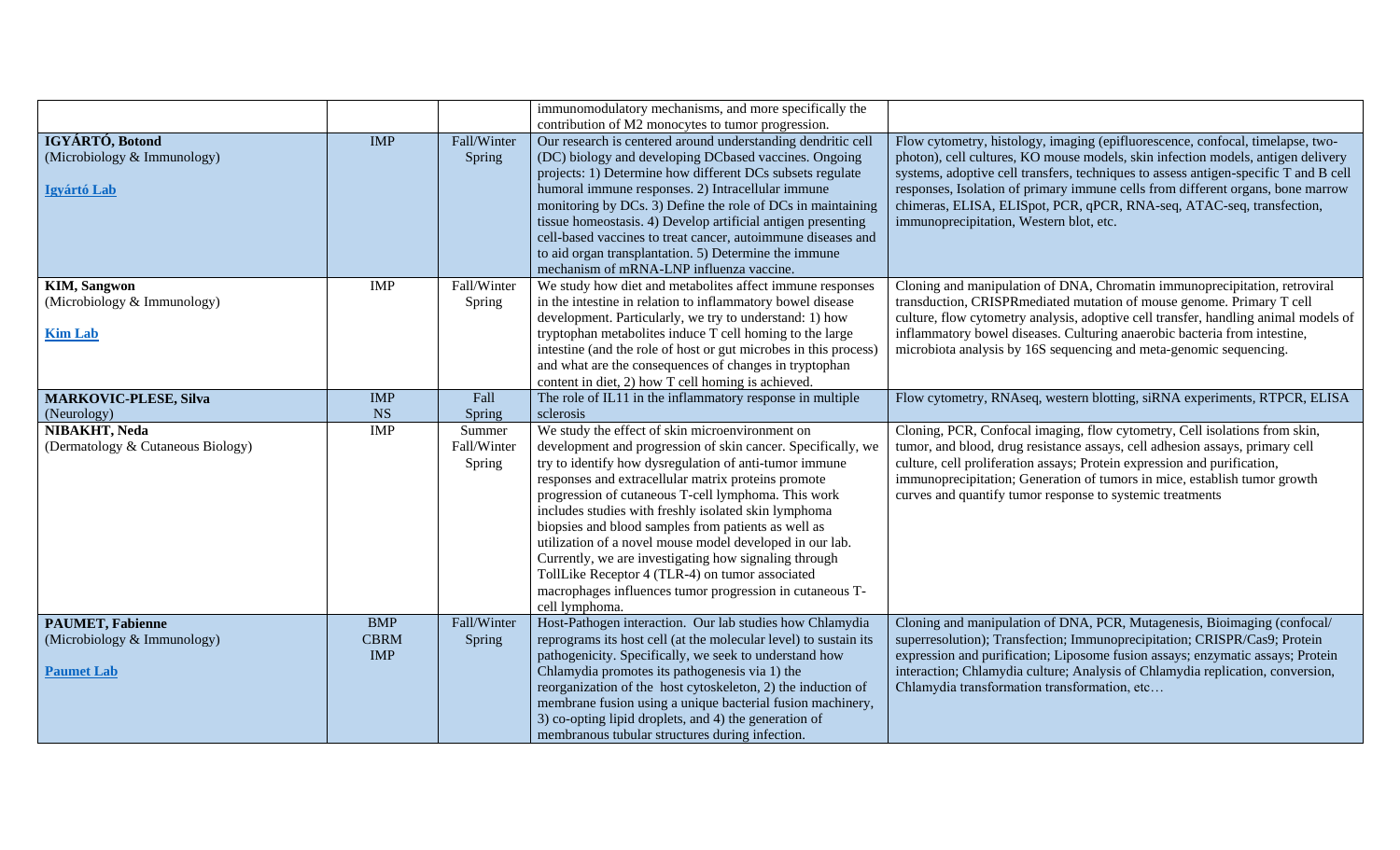|                                                                             |                                         |                                 | immunomodulatory mechanisms, and more specifically the                                                                                                                                                                                                                                                                                                                                                                                                                                                                                                                                                                                                       |                                                                                                                                                                                                                                                                                                                                                                                                                                                                   |
|-----------------------------------------------------------------------------|-----------------------------------------|---------------------------------|--------------------------------------------------------------------------------------------------------------------------------------------------------------------------------------------------------------------------------------------------------------------------------------------------------------------------------------------------------------------------------------------------------------------------------------------------------------------------------------------------------------------------------------------------------------------------------------------------------------------------------------------------------------|-------------------------------------------------------------------------------------------------------------------------------------------------------------------------------------------------------------------------------------------------------------------------------------------------------------------------------------------------------------------------------------------------------------------------------------------------------------------|
|                                                                             |                                         |                                 | contribution of M2 monocytes to tumor progression.                                                                                                                                                                                                                                                                                                                                                                                                                                                                                                                                                                                                           |                                                                                                                                                                                                                                                                                                                                                                                                                                                                   |
| IGYÁRTÓ, Botond<br>(Microbiology & Immunology)<br>Igyártó Lab               | <b>IMP</b>                              | Fall/Winter<br>Spring           | Our research is centered around understanding dendritic cell<br>(DC) biology and developing DCbased vaccines. Ongoing<br>projects: 1) Determine how different DCs subsets regulate<br>humoral immune responses. 2) Intracellular immune<br>monitoring by DCs. 3) Define the role of DCs in maintaining<br>tissue homeostasis. 4) Develop artificial antigen presenting<br>cell-based vaccines to treat cancer, autoimmune diseases and<br>to aid organ transplantation. 5) Determine the immune                                                                                                                                                              | Flow cytometry, histology, imaging (epifluorescence, confocal, timelapse, two-<br>photon), cell cultures, KO mouse models, skin infection models, antigen delivery<br>systems, adoptive cell transfers, techniques to assess antigen-specific T and B cell<br>responses, Isolation of primary immune cells from different organs, bone marrow<br>chimeras, ELISA, ELISpot, PCR, qPCR, RNA-seq, ATAC-seq, transfection,<br>immunoprecipitation, Western blot, etc. |
|                                                                             |                                         |                                 | mechanism of mRNA-LNP influenza vaccine.                                                                                                                                                                                                                                                                                                                                                                                                                                                                                                                                                                                                                     |                                                                                                                                                                                                                                                                                                                                                                                                                                                                   |
| <b>KIM, Sangwon</b><br>(Microbiology & Immunology)<br><b>Kim Lab</b>        | <b>IMP</b>                              | Fall/Winter<br>Spring           | We study how diet and metabolites affect immune responses<br>in the intestine in relation to inflammatory bowel disease<br>development. Particularly, we try to understand: 1) how<br>tryptophan metabolites induce T cell homing to the large<br>intestine (and the role of host or gut microbes in this process)<br>and what are the consequences of changes in tryptophan<br>content in diet, 2) how T cell homing is achieved.                                                                                                                                                                                                                           | Cloning and manipulation of DNA, Chromatin immunoprecipitation, retroviral<br>transduction, CRISPR mediated mutation of mouse genome. Primary T cell<br>culture, flow cytometry analysis, adoptive cell transfer, handling animal models of<br>inflammatory bowel diseases. Culturing anaerobic bacteria from intestine,<br>microbiota analysis by 16S sequencing and meta-genomic sequencing.                                                                    |
| <b>MARKOVIC-PLESE, Silva</b>                                                | <b>IMP</b>                              | Fall                            | The role of IL11 in the inflammatory response in multiple                                                                                                                                                                                                                                                                                                                                                                                                                                                                                                                                                                                                    | Flow cytometry, RNAseq, western blotting, siRNA experiments, RTPCR, ELISA                                                                                                                                                                                                                                                                                                                                                                                         |
| (Neurology)                                                                 | <b>NS</b>                               | Spring                          | sclerosis                                                                                                                                                                                                                                                                                                                                                                                                                                                                                                                                                                                                                                                    |                                                                                                                                                                                                                                                                                                                                                                                                                                                                   |
| NIBAKHT, Neda<br>(Dermatology & Cutaneous Biology)                          | <b>IMP</b>                              | Summer<br>Fall/Winter<br>Spring | We study the effect of skin microenvironment on<br>development and progression of skin cancer. Specifically, we<br>try to identify how dysregulation of anti-tumor immune<br>responses and extracellular matrix proteins promote<br>progression of cutaneous T-cell lymphoma. This work<br>includes studies with freshly isolated skin lymphoma<br>biopsies and blood samples from patients as well as<br>utilization of a novel mouse model developed in our lab.<br>Currently, we are investigating how signaling through<br>TollLike Receptor 4 (TLR-4) on tumor associated<br>macrophages influences tumor progression in cutaneous T-<br>cell lymphoma. | Cloning, PCR, Confocal imaging, flow cytometry, Cell isolations from skin,<br>tumor, and blood, drug resistance assays, cell adhesion assays, primary cell<br>culture, cell proliferation assays; Protein expression and purification,<br>immunoprecipitation; Generation of tumors in mice, establish tumor growth<br>curves and quantify tumor response to systemic treatments                                                                                  |
| <b>PAUMET, Fabienne</b><br>(Microbiology & Immunology)<br><b>Paumet Lab</b> | <b>BMP</b><br><b>CBRM</b><br><b>IMP</b> | Fall/Winter<br>Spring           | Host-Pathogen interaction. Our lab studies how Chlamydia<br>reprograms its host cell (at the molecular level) to sustain its<br>pathogenicity. Specifically, we seek to understand how<br>Chlamydia promotes its pathogenesis via 1) the<br>reorganization of the host cytoskeleton, 2) the induction of<br>membrane fusion using a unique bacterial fusion machinery,<br>3) co-opting lipid droplets, and 4) the generation of<br>membranous tubular structures during infection.                                                                                                                                                                           | Cloning and manipulation of DNA, PCR, Mutagenesis, Bioimaging (confocal/<br>superresolution); Transfection; Immunoprecipitation; CRISPR/Cas9; Protein<br>expression and purification; Liposome fusion assays; enzymatic assays; Protein<br>interaction; Chlamydia culture; Analysis of Chlamydia replication, conversion,<br>Chlamydia transformation transformation, etc                                                                                         |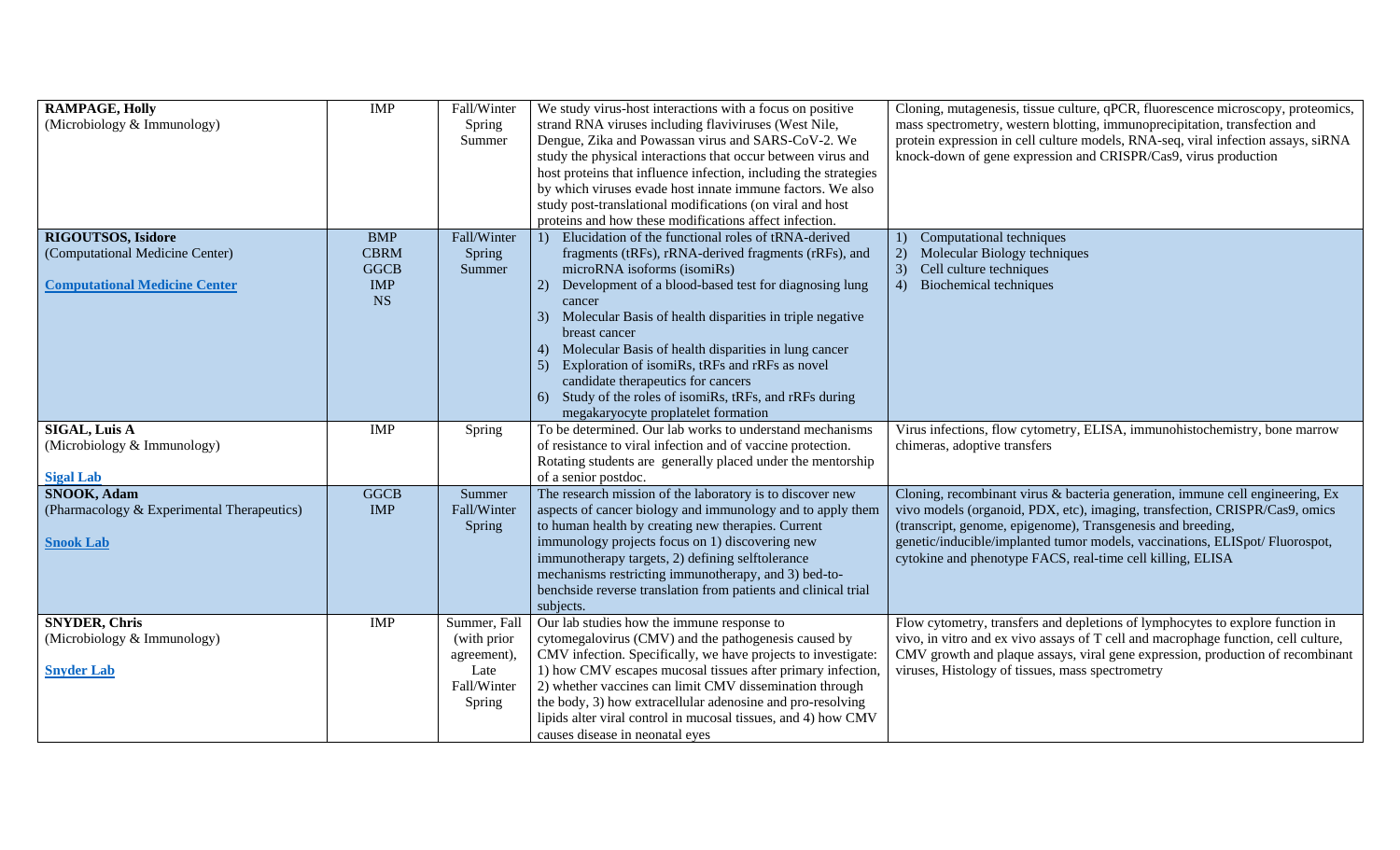| <b>RAMPAGE, Holly</b><br>(Microbiology & Immunology)                                                 | <b>IMP</b>                                                          | Fall/Winter<br>Spring<br>Summer                                             | We study virus-host interactions with a focus on positive<br>strand RNA viruses including flaviviruses (West Nile,<br>Dengue, Zika and Powassan virus and SARS-CoV-2. We<br>study the physical interactions that occur between virus and<br>host proteins that influence infection, including the strategies<br>by which viruses evade host innate immune factors. We also<br>study post-translational modifications (on viral and host<br>proteins and how these modifications affect infection.                                                                                     | Cloning, mutagenesis, tissue culture, qPCR, fluorescence microscopy, proteomics,<br>mass spectrometry, western blotting, immunoprecipitation, transfection and<br>protein expression in cell culture models, RNA-seq, viral infection assays, siRNA<br>knock-down of gene expression and CRISPR/Cas9, virus production                                                    |
|------------------------------------------------------------------------------------------------------|---------------------------------------------------------------------|-----------------------------------------------------------------------------|---------------------------------------------------------------------------------------------------------------------------------------------------------------------------------------------------------------------------------------------------------------------------------------------------------------------------------------------------------------------------------------------------------------------------------------------------------------------------------------------------------------------------------------------------------------------------------------|---------------------------------------------------------------------------------------------------------------------------------------------------------------------------------------------------------------------------------------------------------------------------------------------------------------------------------------------------------------------------|
| <b>RIGOUTSOS, Isidore</b><br>(Computational Medicine Center)<br><b>Computational Medicine Center</b> | <b>BMP</b><br><b>CBRM</b><br><b>GGCB</b><br><b>IMP</b><br><b>NS</b> | Fall/Winter<br>Spring<br>Summer                                             | Elucidation of the functional roles of tRNA-derived<br>$\left(1\right)$<br>fragments (tRFs), rRNA-derived fragments (rRFs), and<br>microRNA isoforms (isomiRs)<br>Development of a blood-based test for diagnosing lung<br>2)<br>cancer<br>Molecular Basis of health disparities in triple negative<br>3)<br>breast cancer<br>Molecular Basis of health disparities in lung cancer<br>4)<br>Exploration of isomiRs, tRFs and rRFs as novel<br>candidate therapeutics for cancers<br>Study of the roles of isomiRs, tRFs, and rRFs during<br>6)<br>megakaryocyte proplatelet formation | Computational techniques<br>1)<br>Molecular Biology techniques<br>2)<br>Cell culture techniques<br>3)<br>Biochemical techniques<br>4)                                                                                                                                                                                                                                     |
| <b>SIGAL, Luis A</b><br>(Microbiology & Immunology)<br><b>Sigal Lab</b>                              | <b>IMP</b>                                                          | Spring                                                                      | To be determined. Our lab works to understand mechanisms<br>of resistance to viral infection and of vaccine protection.<br>Rotating students are generally placed under the mentorship<br>of a senior postdoc.                                                                                                                                                                                                                                                                                                                                                                        | Virus infections, flow cytometry, ELISA, immunohistochemistry, bone marrow<br>chimeras, adoptive transfers                                                                                                                                                                                                                                                                |
| SNOOK, Adam<br>(Pharmacology & Experimental Therapeutics)<br><b>Snook Lab</b>                        | <b>GGCB</b><br><b>IMP</b>                                           | Summer<br>Fall/Winter<br>Spring                                             | The research mission of the laboratory is to discover new<br>aspects of cancer biology and immunology and to apply them<br>to human health by creating new therapies. Current<br>immunology projects focus on 1) discovering new<br>immunotherapy targets, 2) defining selftolerance<br>mechanisms restricting immunotherapy, and 3) bed-to-<br>benchside reverse translation from patients and clinical trial<br>subjects.                                                                                                                                                           | Cloning, recombinant virus & bacteria generation, immune cell engineering, Ex<br>vivo models (organoid, PDX, etc), imaging, transfection, CRISPR/Cas9, omics<br>(transcript, genome, epigenome), Transgenesis and breeding,<br>genetic/inducible/implanted tumor models, vaccinations, ELISpot/ Fluorospot,<br>cytokine and phenotype FACS, real-time cell killing, ELISA |
| <b>SNYDER, Chris</b><br>(Microbiology & Immunology)<br><b>Snyder Lab</b>                             | <b>IMP</b>                                                          | Summer, Fall<br>(with prior<br>agreement),<br>Late<br>Fall/Winter<br>Spring | Our lab studies how the immune response to<br>cytomegalovirus (CMV) and the pathogenesis caused by<br>CMV infection. Specifically, we have projects to investigate:<br>1) how CMV escapes mucosal tissues after primary infection,<br>2) whether vaccines can limit CMV dissemination through<br>the body, 3) how extracellular adenosine and pro-resolving<br>lipids alter viral control in mucosal tissues, and 4) how CMV<br>causes disease in neonatal eyes                                                                                                                       | Flow cytometry, transfers and depletions of lymphocytes to explore function in<br>vivo, in vitro and ex vivo assays of T cell and macrophage function, cell culture,<br>CMV growth and plaque assays, viral gene expression, production of recombinant<br>viruses, Histology of tissues, mass spectrometry                                                                |